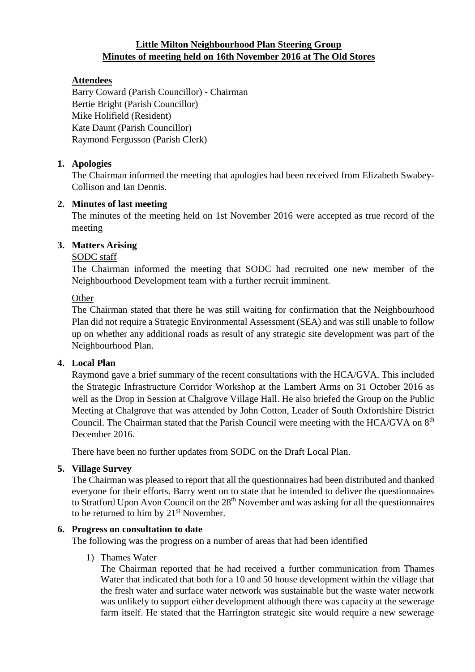# **Little Milton Neighbourhood Plan Steering Group Minutes of meeting held on 16th November 2016 at The Old Stores**

# **Attendees**

Barry Coward (Parish Councillor) - Chairman Bertie Bright (Parish Councillor) Mike Holifield (Resident) Kate Daunt (Parish Councillor) Raymond Fergusson (Parish Clerk)

## **1. Apologies**

The Chairman informed the meeting that apologies had been received from Elizabeth Swabey-Collison and Ian Dennis.

### **2. Minutes of last meeting**

The minutes of the meeting held on 1st November 2016 were accepted as true record of the meeting

# **3. Matters Arising**

# SODC staff

The Chairman informed the meeting that SODC had recruited one new member of the Neighbourhood Development team with a further recruit imminent.

### **Other**

The Chairman stated that there he was still waiting for confirmation that the Neighbourhood Plan did not require a Strategic Environmental Assessment (SEA) and was still unable to follow up on whether any additional roads as result of any strategic site development was part of the Neighbourhood Plan.

## **4. Local Plan**

Raymond gave a brief summary of the recent consultations with the HCA/GVA. This included the Strategic Infrastructure Corridor Workshop at the Lambert Arms on 31 October 2016 as well as the Drop in Session at Chalgrove Village Hall. He also briefed the Group on the Public Meeting at Chalgrove that was attended by John Cotton, Leader of South Oxfordshire District Council. The Chairman stated that the Parish Council were meeting with the HCA/GVA on 8<sup>th</sup> December 2016.

There have been no further updates from SODC on the Draft Local Plan.

### **5. Village Survey**

The Chairman was pleased to report that all the questionnaires had been distributed and thanked everyone for their efforts. Barry went on to state that he intended to deliver the questionnaires to Stratford Upon Avon Council on the 28<sup>th</sup> November and was asking for all the questionnaires to be returned to him by 21<sup>st</sup> November.

## **6. Progress on consultation to date**

The following was the progress on a number of areas that had been identified

### 1) Thames Water

The Chairman reported that he had received a further communication from Thames Water that indicated that both for a 10 and 50 house development within the village that the fresh water and surface water network was sustainable but the waste water network was unlikely to support either development although there was capacity at the sewerage farm itself. He stated that the Harrington strategic site would require a new sewerage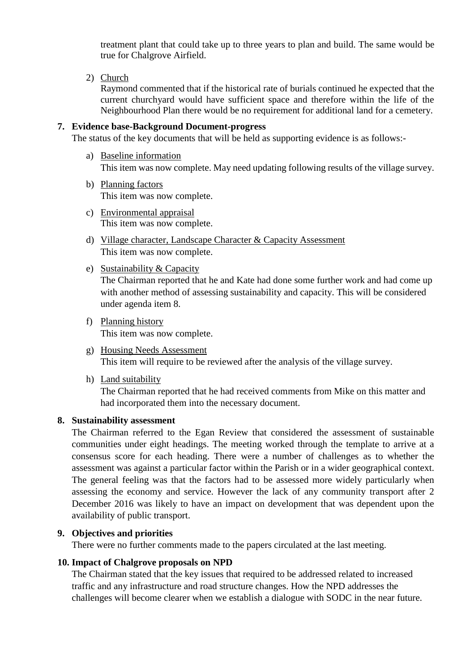treatment plant that could take up to three years to plan and build. The same would be true for Chalgrove Airfield.

2) Church

Raymond commented that if the historical rate of burials continued he expected that the current churchyard would have sufficient space and therefore within the life of the Neighbourhood Plan there would be no requirement for additional land for a cemetery.

#### **7. Evidence base-Background Document-progress**

The status of the key documents that will be held as supporting evidence is as follows:-

- a) Baseline information This item was now complete. May need updating following results of the village survey.
- b) Planning factors This item was now complete.
- c) Environmental appraisal This item was now complete.
- d) Village character, Landscape Character & Capacity Assessment This item was now complete.
- e) Sustainability & Capacity

The Chairman reported that he and Kate had done some further work and had come up with another method of assessing sustainability and capacity. This will be considered under agenda item 8.

- f) Planning history This item was now complete.
- g) Housing Needs Assessment This item will require to be reviewed after the analysis of the village survey.
- h) Land suitability

The Chairman reported that he had received comments from Mike on this matter and had incorporated them into the necessary document.

#### **8. Sustainability assessment**

The Chairman referred to the Egan Review that considered the assessment of sustainable communities under eight headings. The meeting worked through the template to arrive at a consensus score for each heading. There were a number of challenges as to whether the assessment was against a particular factor within the Parish or in a wider geographical context. The general feeling was that the factors had to be assessed more widely particularly when assessing the economy and service. However the lack of any community transport after 2 December 2016 was likely to have an impact on development that was dependent upon the availability of public transport.

#### **9. Objectives and priorities**

There were no further comments made to the papers circulated at the last meeting.

#### **10. Impact of Chalgrove proposals on NPD**

The Chairman stated that the key issues that required to be addressed related to increased traffic and any infrastructure and road structure changes. How the NPD addresses the challenges will become clearer when we establish a dialogue with SODC in the near future.